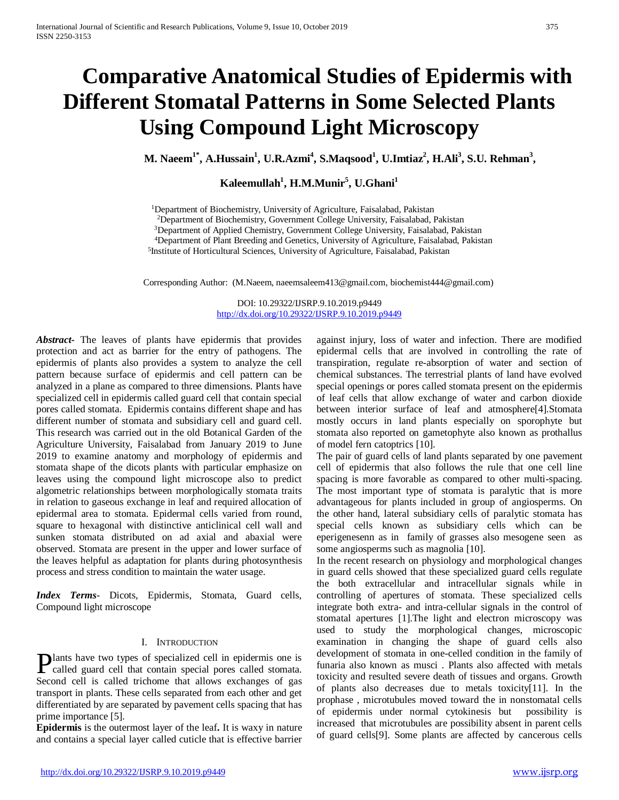# **Comparative Anatomical Studies of Epidermis with Different Stomatal Patterns in Some Selected Plants Using Compound Light Microscopy**

 **M. Naeem1\*, A.Hussain<sup>1</sup> , U.R.Azmi<sup>4</sup> , S.Maqsood<sup>1</sup> , U.Imtiaz<sup>2</sup> , H.Ali<sup>3</sup> , S.U. Rehman<sup>3</sup> ,** 

## **Kaleemullah<sup>1</sup> , H.M.Munir<sup>5</sup> , U.Ghani<sup>1</sup>**

<sup>1</sup>Department of Biochemistry, University of Agriculture, Faisalabad, Pakistan

<sup>2</sup>Department of Biochemistry, Government College University, Faisalabad, Pakistan

<sup>3</sup>Department of Applied Chemistry, Government College University, Faisalabad, Pakistan

<sup>4</sup>Department of Plant Breeding and Genetics, University of Agriculture, Faisalabad, Pakistan

5 Institute of Horticultural Sciences, University of Agriculture, Faisalabad, Pakistan

Corresponding Author: (M.Naeem, [naeemsaleem413@gmail.com,](mailto:naeemsaleem413@gmail.com) biochemist444@gmail.com)

DOI: 10.29322/IJSRP.9.10.2019.p9449 <http://dx.doi.org/10.29322/IJSRP.9.10.2019.p9449>

*Abstract***-** The leaves of plants have epidermis that provides protection and act as barrier for the entry of pathogens. The epidermis of plants also provides a system to analyze the cell pattern because surface of epidermis and cell pattern can be analyzed in a plane as compared to three dimensions. Plants have specialized cell in epidermis called guard cell that contain special pores called stomata. Epidermis contains different shape and has different number of stomata and subsidiary cell and guard cell. This research was carried out in the old Botanical Garden of the Agriculture University, Faisalabad from January 2019 to June 2019 to examine anatomy and morphology of epidermis and stomata shape of the dicots plants with particular emphasize on leaves using the compound light microscope also to predict algometric relationships between morphologically stomata traits in relation to gaseous exchange in leaf and required allocation of epidermal area to stomata. Epidermal cells varied from round, square to hexagonal with distinctive anticlinical cell wall and sunken stomata distributed on ad axial and abaxial were observed. Stomata are present in the upper and lower surface of the leaves helpful as adaptation for plants during photosynthesis process and stress condition to maintain the water usage.

*Index Terms*- Dicots, Epidermis, Stomata, Guard cells, Compound light microscope

## I. INTRODUCTION

lants have two types of specialized cell in epidermis one is Plants have two types of specialized cell in epidermis one is called guard cell that contain special pores called stomata. Second cell is called trichome that allows exchanges of gas transport in plants. These cells separated from each other and get differentiated by are separated by pavement cells spacing that has prime importance [5].

**Epidermis** is the outermost layer of the leaf**.** It is waxy in nature and contains a special layer called cuticle that is effective barrier

against injury, loss of water and infection. There are modified epidermal cells that are involved in controlling the rate of transpiration, regulate re-absorption of water and section of chemical substances. The terrestrial plants of land have evolved special openings or pores called stomata present on the epidermis of leaf cells that allow exchange of water and carbon dioxide between interior surface of leaf and atmosphere[4].Stomata mostly occurs in land plants especially on sporophyte but stomata also reported on gametophyte also known as prothallus of model fern catoptrics [10].

The pair of guard cells of land plants separated by one pavement cell of epidermis that also follows the rule that one cell line spacing is more favorable as compared to other multi-spacing. The most important type of stomata is paralytic that is more advantageous for plants included in group of angiosperms. On the other hand, lateral subsidiary cells of paralytic stomata has special cells known as subsidiary cells which can be eperigenesenn as in family of grasses also mesogene seen as some angiosperms such as magnolia [10].

In the recent research on physiology and morphological changes in guard cells showed that these specialized guard cells regulate the both extracellular and intracellular signals while in controlling of apertures of stomata. These specialized cells integrate both extra- and intra-cellular signals in the control of stomatal apertures [1].The light and electron microscopy was used to study the morphological changes, microscopic examination in changing the shape of guard cells also development of stomata in one-celled condition in the family of funaria also known as musci . Plants also affected with metals toxicity and resulted severe death of tissues and organs. Growth of plants also decreases due to metals toxicity[11]. In the prophase , microtubules moved toward the in nonstomatal cells of epidermis under normal cytokinesis but possibility is increased that microtubules are possibility absent in parent cells of guard cells[9]. Some plants are affected by cancerous cells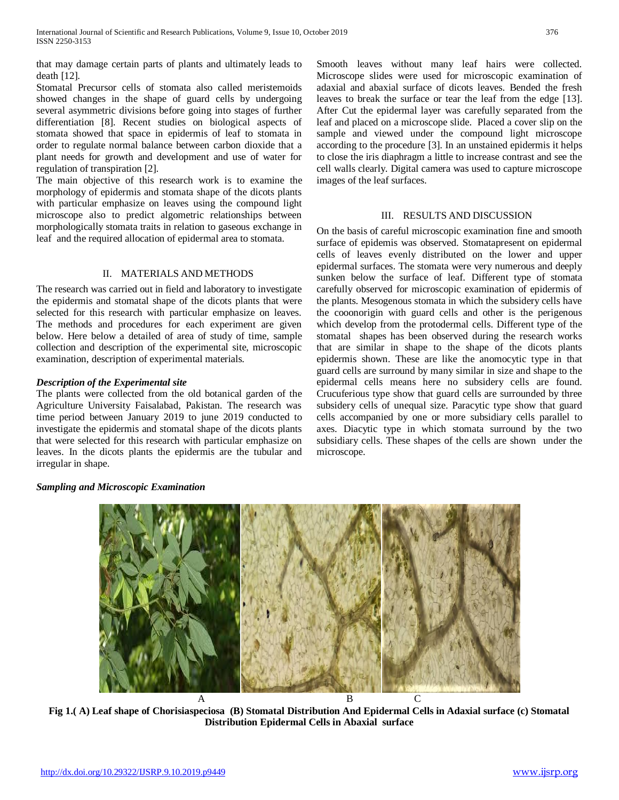that may damage certain parts of plants and ultimately leads to death [12].

Stomatal Precursor cells of stomata also called meristemoids showed changes in the shape of guard cells by undergoing several asymmetric divisions before going into stages of further differentiation [8]. Recent studies on biological aspects of stomata showed that space in epidermis of leaf to stomata in order to regulate normal balance between carbon dioxide that a plant needs for growth and development and use of water for regulation of transpiration [2].

The main objective of this research work is to examine the morphology of epidermis and stomata shape of the dicots plants with particular emphasize on leaves using the compound light microscope also to predict algometric relationships between morphologically stomata traits in relation to gaseous exchange in leaf and the required allocation of epidermal area to stomata.

## II. MATERIALS AND METHODS

The research was carried out in field and laboratory to investigate the epidermis and stomatal shape of the dicots plants that were selected for this research with particular emphasize on leaves. The methods and procedures for each experiment are given below. Here below a detailed of area of study of time, sample collection and description of the experimental site, microscopic examination, description of experimental materials.

## *Description of the Experimental site*

*Sampling and Microscopic Examination* 

The plants were collected from the old botanical garden of the Agriculture University Faisalabad, Pakistan. The research was time period between January 2019 to june 2019 conducted to investigate the epidermis and stomatal shape of the dicots plants that were selected for this research with particular emphasize on leaves. In the dicots plants the epidermis are the tubular and irregular in shape.

Smooth leaves without many leaf hairs were collected. Microscope slides were used for microscopic examination of adaxial and abaxial surface of dicots leaves. Bended the fresh leaves to break the surface or tear the leaf from the edge [13]. After Cut the epidermal layer was carefully separated from the leaf and placed on a microscope slide. Placed a cover slip on the sample and viewed under the compound light microscope according to the procedure [3]. In an unstained epidermis it helps to close the iris diaphragm a little to increase contrast and see the cell walls clearly. Digital camera was used to capture microscope images of the leaf surfaces.

## III. RESULTS AND DISCUSSION

On the basis of careful microscopic examination fine and smooth surface of epidemis was observed. Stomatapresent on epidermal cells of leaves evenly distributed on the lower and upper epidermal surfaces. The stomata were very numerous and deeply sunken below the surface of leaf. Different type of stomata carefully observed for microscopic examination of epidermis of the plants. Mesogenous stomata in which the subsidery cells have the cooonorigin with guard cells and other is the perigenous which develop from the protodermal cells. Different type of the stomatal shapes has been observed during the research works that are similar in shape to the shape of the dicots plants epidermis shown. These are like the anomocytic type in that guard cells are surround by many similar in size and shape to the epidermal cells means here no subsidery cells are found. Crucuferious type show that guard cells are surrounded by three subsidery cells of unequal size. Paracytic type show that guard cells accompanied by one or more subsidiary cells parallel to axes. Diacytic type in which stomata surround by the two subsidiary cells. These shapes of the cells are shown under the microscope.

# A B C

**Fig 1.( A) Leaf shape of Chorisiaspeciosa (B) Stomatal Distribution And Epidermal Cells in Adaxial surface (c) Stomatal Distribution Epidermal Cells in Abaxial surface**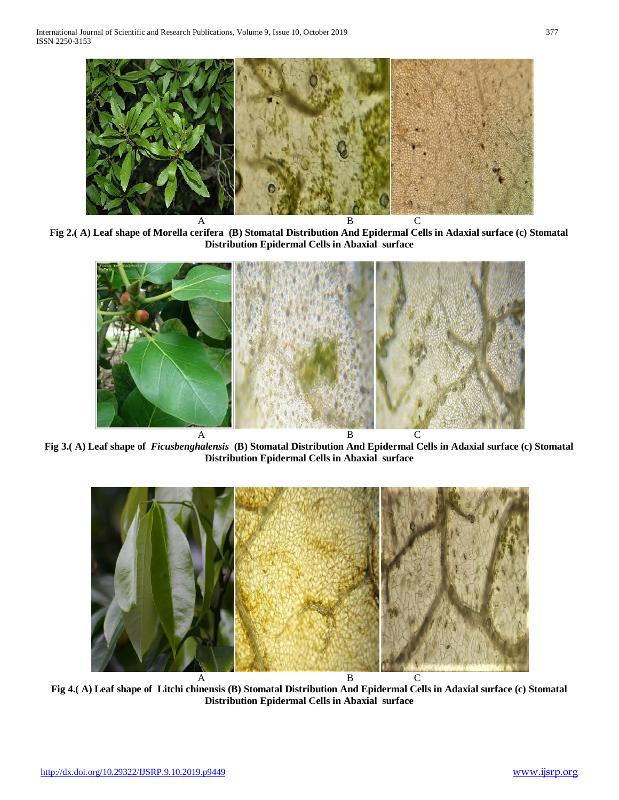

**Fig 2.( A) Leaf shape of Morella cerifera (B) Stomatal Distribution And Epidermal Cells in Adaxial surface (c) Stomatal Distribution Epidermal Cells in Abaxial surface**



**Fig 3.( A) Leaf shape of** *Ficusbenghalensis* **(B) Stomatal Distribution And Epidermal Cells in Adaxial surface (c) Stomatal Distribution Epidermal Cells in Abaxial surface**



**Fig 4.( A) Leaf shape of Litchi chinensis (B) Stomatal Distribution And Epidermal Cells in Adaxial surface (c) Stomatal Distribution Epidermal Cells in Abaxial surface**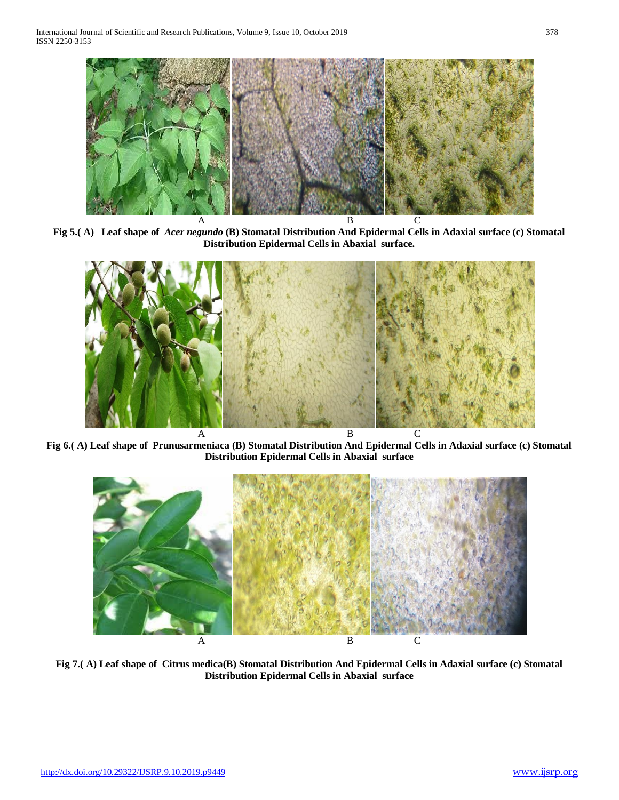

**Fig 5.( A) Leaf shape of** *Acer negundo* **(B) Stomatal Distribution And Epidermal Cells in Adaxial surface (c) Stomatal Distribution Epidermal Cells in Abaxial surface.**



**Fig 6.( A) Leaf shape of Prunusarmeniaca (B) Stomatal Distribution And Epidermal Cells in Adaxial surface (c) Stomatal Distribution Epidermal Cells in Abaxial surface**



**Fig 7.( A) Leaf shape of Citrus medica(B) Stomatal Distribution And Epidermal Cells in Adaxial surface (c) Stomatal Distribution Epidermal Cells in Abaxial surface**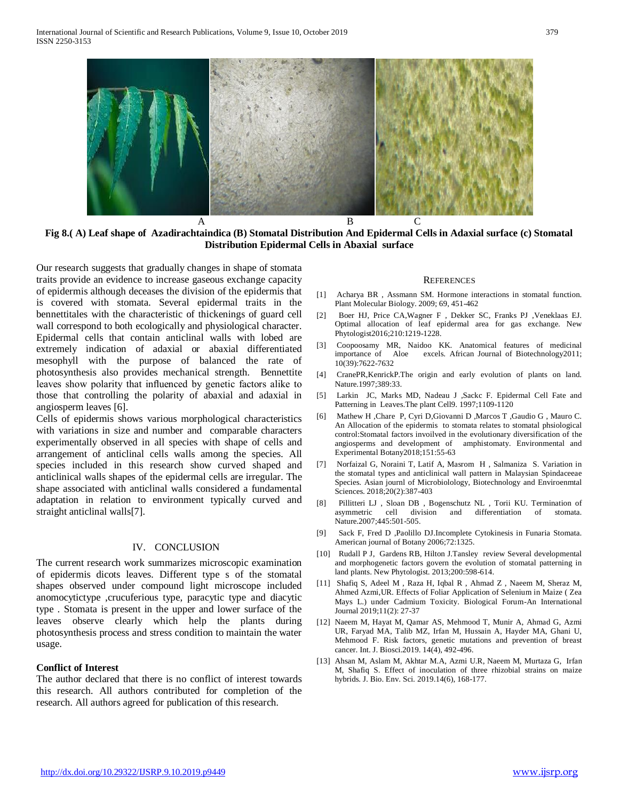

**Fig 8.( A) Leaf shape of Azadirachtaindica (B) Stomatal Distribution And Epidermal Cells in Adaxial surface (c) Stomatal Distribution Epidermal Cells in Abaxial surface**

Our research suggests that gradually changes in shape of stomata traits provide an evidence to increase gaseous exchange capacity of epidermis although deceases the division of the epidermis that is covered with stomata. Several epidermal traits in the bennettitales with the characteristic of thickenings of guard cell wall correspond to both ecologically and physiological character. Epidermal cells that contain anticlinal walls with lobed are extremely indication of adaxial or abaxial differentiated mesophyll with the purpose of balanced the rate of photosynthesis also provides mechanical strength. Bennettite leaves show polarity that influenced by genetic factors alike to those that controlling the polarity of abaxial and adaxial in angiosperm leaves [6].

Cells of epidermis shows various morphological characteristics with variations in size and number and comparable characters experimentally observed in all species with shape of cells and arrangement of anticlinal cells walls among the species. All species included in this research show curved shaped and anticlinical walls shapes of the epidermal cells are irregular. The shape associated with anticlinal walls considered a fundamental adaptation in relation to environment typically curved and straight anticlinal walls[7].

## IV. CONCLUSION

The current research work summarizes microscopic examination of epidermis dicots leaves. Different type s of the stomatal shapes observed under compound light microscope included anomocytictype ,crucuferious type, paracytic type and diacytic type . Stomata is present in the upper and lower surface of the leaves observe clearly which help the plants during photosynthesis process and stress condition to maintain the water usage.

## **Conflict of Interest**

The author declared that there is no conflict of interest towards this research. All authors contributed for completion of the research. All authors agreed for publication of this research.

## **REFERENCES**

- [1] Acharya BR , Assmann SM. Hormone interactions in stomatal function. Plant Molecular Biology. 2009; 69, 451-462
- [2] Boer HJ, Price CA,Wagner F , Dekker SC, Franks PJ ,Veneklaas EJ. Optimal allocation of leaf epidermal area for gas exchange. New Phytologist2016;210:1219-1228.
- [3] Coopoosamy MR, Naidoo KK. Anatomical features of medicinal importance of Aloe excels. African Journal of Biotechnology2011; 10(39):7622-7632
- [4] CranePR,KenrickP.The origin and early evolution of plants on land. Nature.1997;389:33.
- [5] Larkin JC, Marks MD, Nadeau J ,Sackc F. Epidermal Cell Fate and Patterning in Leaves.The plant Cell9. 1997;1109-1120
- [6] Mathew H ,Chare P, Cyri D,Giovanni D ,Marcos T ,Gaudio G , Mauro C. An Allocation of the epidermis to stomata relates to stomatal phsiological control:Stomatal factors invoilved in the evolutionary diversification of the angiosperms and development of amphistomaty. Environmental and Experimental Botany2018;151:55-63
- [7] Norfaizal G, Noraini T, Latif A, Masrom H , Salmaniza S. Variation in the stomatal types and anticlinical wall pattern in Malaysian Spindaceeae Species. Asian journl of Microbiolology, Biotechnology and Enviroenmtal Sciences. 2018;20(2):387-403
- [8] Pillitteri LJ , Sloan DB , Bogenschutz NL , Torii KU. Termination of asymmetric cell division and differentiation of stomata. Nature.2007;445:501-505.
- [9] Sack F, Fred D ,Paolillo DJ.Incomplete Cytokinesis in Funaria Stomata. American journal of Botany 2006;72:1325.
- [10] Rudall P J, Gardens RB, Hilton J.Tansley review Several developmental and morphogenetic factors govern the evolution of stomatal patterning in land plants. New Phytologist. 2013;200:598-614.
- [11] Shafiq S, Adeel M , Raza H, Iqbal R , Ahmad Z , Naeem M, Sheraz M, Ahmed Azmi,UR. Effects of Foliar Application of Selenium in Maize ( Zea Mays L.) under Cadmium Toxicity. Biological Forum-An International Journal 2019;11(2): 27-37
- [12] Naeem M, Hayat M, Qamar AS, Mehmood T, Munir A, Ahmad G, Azmi UR, Faryad MA, Talib MZ, Irfan M, Hussain A, Hayder MA, Ghani U, Mehmood F. Risk factors, genetic mutations and prevention of breast cancer. Int. J. Biosci.2019. 14(4), 492-496.
- [13] Ahsan M, Aslam M, Akhtar M.A, Azmi U.R, Naeem M, Murtaza G, Irfan M, Shafiq S. Effect of inoculation of three rhizobial strains on maize hybrids. J. Bio. Env. Sci. 2019.14(6), 168-177.